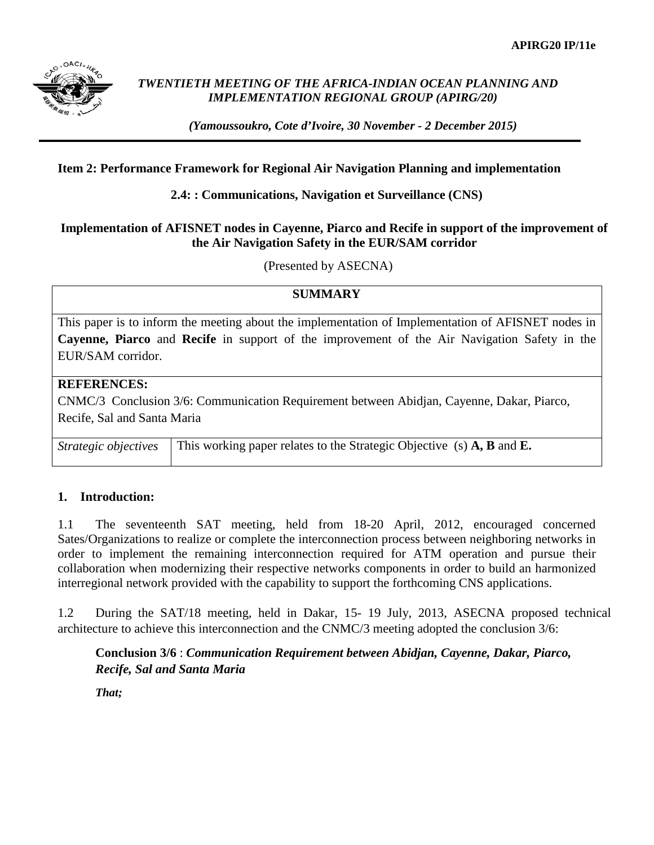

## *TWENTIETH MEETING OF THE AFRICA-INDIAN OCEAN PLANNING AND IMPLEMENTATION REGIONAL GROUP (APIRG/20)*

*(Yamoussoukro, Cote d'Ivoire, 30 November - 2 December 2015)*

### **Item 2: Performance Framework for Regional Air Navigation Planning and implementation**

**2.4: : Communications, Navigation et Surveillance (CNS)**

#### **Implementation of AFISNET nodes in Cayenne, Piarco and Recife in support of the improvement of the Air Navigation Safety in the EUR/SAM corridor**

(Presented by ASECNA)

## **SUMMARY**

This paper is to inform the meeting about the implementation of Implementation of AFISNET nodes in **Cayenne, Piarco** and **Recife** in support of the improvement of the Air Navigation Safety in the EUR/SAM corridor.

# **REFERENCES:**

CNMC/3 Conclusion 3/6: Communication Requirement between Abidjan, Cayenne, Dakar, Piarco, Recife, Sal and Santa Maria

*Strategic objectives* This working paper relates to the Strategic Objective (s) A, B and E.

## **1. Introduction:**

1.1 The seventeenth SAT meeting, held from 18-20 April, 2012, encouraged concerned Sates/Organizations to realize or complete the interconnection process between neighboring networks in order to implement the remaining interconnection required for ATM operation and pursue their collaboration when modernizing their respective networks components in order to build an harmonized interregional network provided with the capability to support the forthcoming CNS applications.

1.2 During the SAT/18 meeting, held in Dakar, 15- 19 July, 2013, ASECNA proposed technical architecture to achieve this interconnection and the CNMC/3 meeting adopted the conclusion 3/6:

## **Conclusion 3/6** : *Communication Requirement between Abidjan, Cayenne, Dakar, Piarco, Recife, Sal and Santa Maria*

*That;*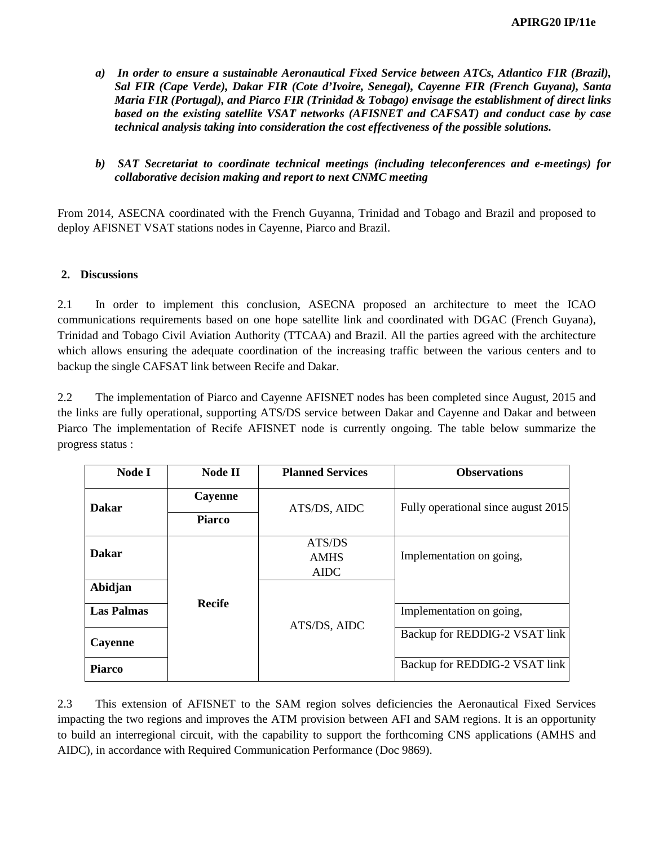- *a) In order to ensure a sustainable Aeronautical Fixed Service between ATCs, Atlantico FIR (Brazil), Sal FIR (Cape Verde), Dakar FIR (Cote d'Ivoire, Senegal), Cayenne FIR (French Guyana), Santa Maria FIR (Portugal), and Piarco FIR (Trinidad & Tobago) envisage the establishment of direct links based on the existing satellite VSAT networks (AFISNET and CAFSAT) and conduct case by case technical analysis taking into consideration the cost effectiveness of the possible solutions.*
- *b) SAT Secretariat to coordinate technical meetings (including teleconferences and e-meetings) for collaborative decision making and report to next CNMC meeting*

From 2014, ASECNA coordinated with the French Guyanna, Trinidad and Tobago and Brazil and proposed to deploy AFISNET VSAT stations nodes in Cayenne, Piarco and Brazil.

#### **2. Discussions**

2.1 In order to implement this conclusion, ASECNA proposed an architecture to meet the ICAO communications requirements based on one hope satellite link and coordinated with DGAC (French Guyana), Trinidad and Tobago Civil Aviation Authority (TTCAA) and Brazil. All the parties agreed with the architecture which allows ensuring the adequate coordination of the increasing traffic between the various centers and to backup the single CAFSAT link between Recife and Dakar.

2.2 The implementation of Piarco and Cayenne AFISNET nodes has been completed since August, 2015 and the links are fully operational, supporting ATS/DS service between Dakar and Cayenne and Dakar and between Piarco The implementation of Recife AFISNET node is currently ongoing. The table below summarize the progress status :

| Node I            | <b>Node II</b> | <b>Planned Services</b>       | <b>Observations</b>                 |
|-------------------|----------------|-------------------------------|-------------------------------------|
| <b>Dakar</b>      | Cayenne        | ATS/DS, AIDC                  | Fully operational since august 2015 |
|                   | <b>Piarco</b>  |                               |                                     |
| <b>Dakar</b>      |                | ATS/DS<br><b>AMHS</b><br>AIDC | Implementation on going,            |
| Abidjan           |                |                               |                                     |
| <b>Las Palmas</b> | <b>Recife</b>  | ATS/DS, AIDC                  | Implementation on going,            |
| Cayenne           |                |                               | Backup for REDDIG-2 VSAT link       |
| <b>Piarco</b>     |                |                               | Backup for REDDIG-2 VSAT link       |

2.3 This extension of AFISNET to the SAM region solves deficiencies the Aeronautical Fixed Services impacting the two regions and improves the ATM provision between AFI and SAM regions. It is an opportunity to build an interregional circuit, with the capability to support the forthcoming CNS applications (AMHS and AIDC), in accordance with Required Communication Performance (Doc 9869).